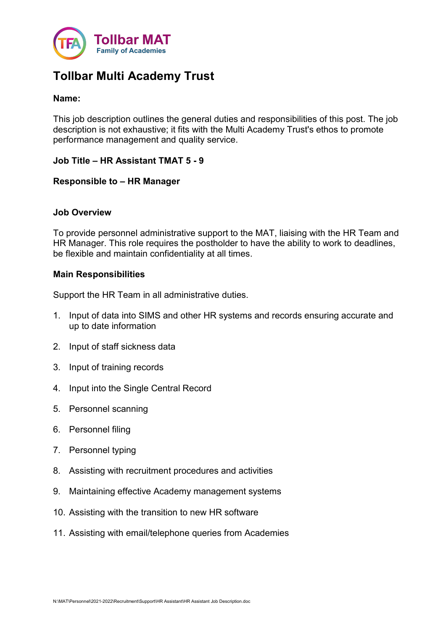

# Tollbar Multi Academy Trust

## Name:

This job description outlines the general duties and responsibilities of this post. The job description is not exhaustive; it fits with the Multi Academy Trust's ethos to promote performance management and quality service.

## Job Title – HR Assistant TMAT 5 - 9

## Responsible to – HR Manager

## Job Overview

To provide personnel administrative support to the MAT, liaising with the HR Team and HR Manager. This role requires the postholder to have the ability to work to deadlines, be flexible and maintain confidentiality at all times.

## Main Responsibilities

Support the HR Team in all administrative duties.

- 1. Input of data into SIMS and other HR systems and records ensuring accurate and up to date information
- 2. Input of staff sickness data
- 3. Input of training records
- 4. Input into the Single Central Record
- 5. Personnel scanning
- 6. Personnel filing
- 7. Personnel typing
- 8. Assisting with recruitment procedures and activities
- 9. Maintaining effective Academy management systems
- 10. Assisting with the transition to new HR software
- 11. Assisting with email/telephone queries from Academies